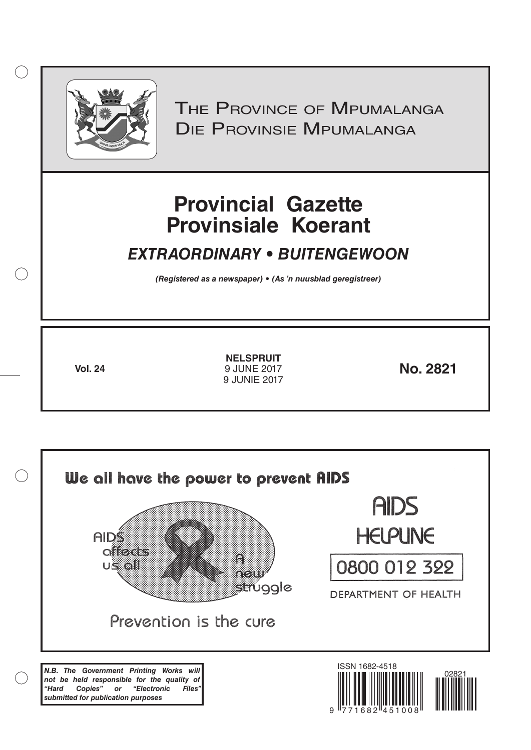

 $( )$ 

THE PROVINCE OF MPUMALANGA Die Provinsie Mpumalanga

# **Provincial Gazette Provinsiale Koerant**

# *EXTRAORDINARY • BUITENGEWOON*

*(Registered as a newspaper) • (As 'n nuusblad geregistreer)*

**Vol. 24 No. 2821 NELSPRUIT** 9 JUNE 2017 9 JUNIE 2017

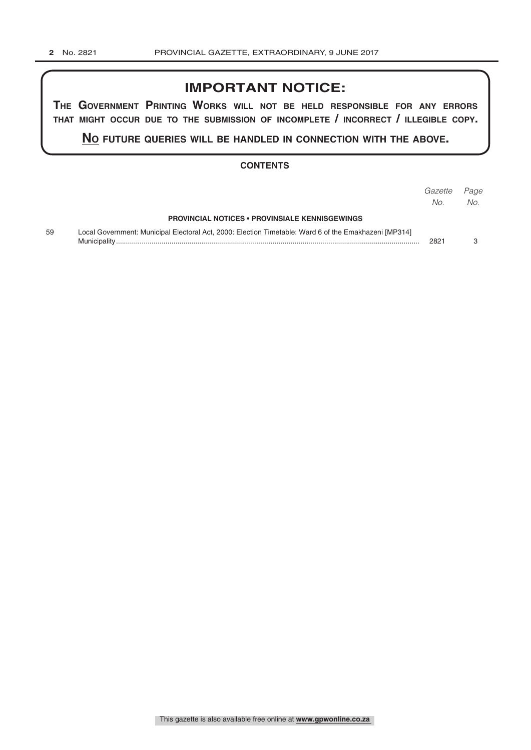## **IMPORTANT NOTICE:**

**The GovernmenT PrinTinG Works Will noT be held resPonsible for any errors ThaT miGhT occur due To The submission of incomPleTe / incorrecT / illeGible coPy.**

**no fuTure queries Will be handled in connecTion WiTh The above.**

#### **CONTENTS**

|    |                                                                                                       | Gazette<br>No. | Page<br>No. |
|----|-------------------------------------------------------------------------------------------------------|----------------|-------------|
|    | <b>PROVINCIAL NOTICES • PROVINSIALE KENNISGEWINGS</b>                                                 |                |             |
| 59 | Local Government: Municipal Electoral Act, 2000: Election Timetable: Ward 6 of the Emakhazeni [MP314] | 2821           |             |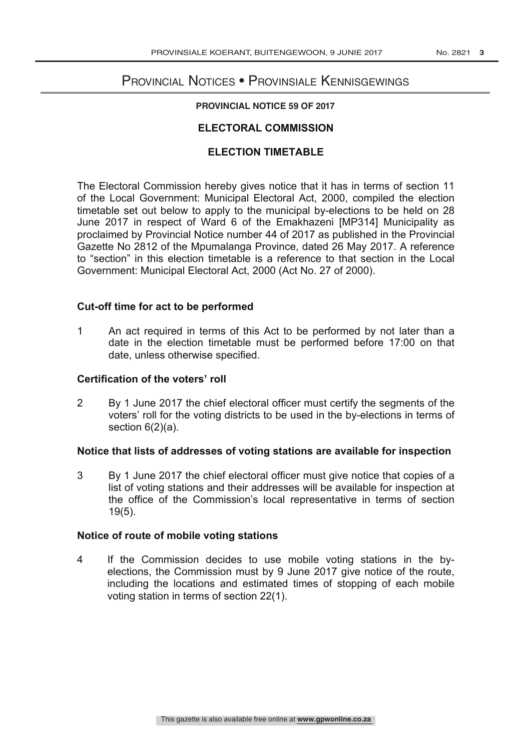### Provincial Notices • Provinsiale Kennisgewings

#### **PROVINCIAL NOTICE 59 OF 2017**

#### **ELECTORAL COMMISSION**

#### **ELECTION TIMETABLE**

The Electoral Commission hereby gives notice that it has in terms of section 11 of the Local Government: Municipal Electoral Act, 2000, compiled the election timetable set out below to apply to the municipal by-elections to be held on 28 June 2017 in respect of Ward 6 of the Emakhazeni [MP314] Municipality as proclaimed by Provincial Notice number 44 of 2017 as published in the Provincial Gazette No 2812 of the Mpumalanga Province, dated 26 May 2017. A reference to "section" in this election timetable is a reference to that section in the Local Government: Municipal Electoral Act, 2000 (Act No. 27 of 2000).

#### **Cut-off time for act to be performed**

1 An act required in terms of this Act to be performed by not later than a date in the election timetable must be performed before 17:00 on that date, unless otherwise specified.

#### **Certification of the voters' roll**

2 By 1 June 2017 the chief electoral officer must certify the segments of the voters' roll for the voting districts to be used in the by-elections in terms of section 6(2)(a).

#### **Notice that lists of addresses of voting stations are available for inspection**

3 By 1 June 2017 the chief electoral officer must give notice that copies of a list of voting stations and their addresses will be available for inspection at the office of the Commission's local representative in terms of section 19(5).

#### **Notice of route of mobile voting stations**

4 If the Commission decides to use mobile voting stations in the byelections, the Commission must by 9 June 2017 give notice of the route, including the locations and estimated times of stopping of each mobile voting station in terms of section 22(1).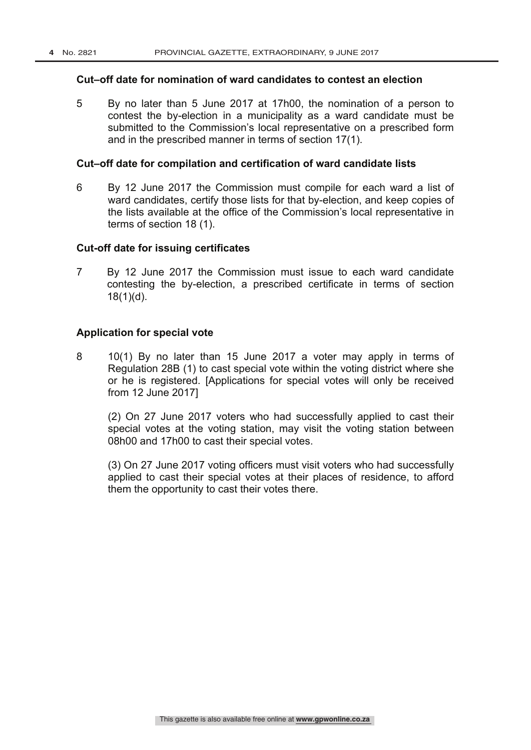#### **Cut–off date for nomination of ward candidates to contest an election**

5 By no later than 5 June 2017 at 17h00, the nomination of a person to contest the by-election in a municipality as a ward candidate must be submitted to the Commission's local representative on a prescribed form and in the prescribed manner in terms of section 17(1).

#### **Cut–off date for compilation and certification of ward candidate lists**

6 By 12 June 2017 the Commission must compile for each ward a list of ward candidates, certify those lists for that by-election, and keep copies of the lists available at the office of the Commission's local representative in terms of section 18 (1).

#### **Cut-off date for issuing certificates**

7 By 12 June 2017 the Commission must issue to each ward candidate contesting the by-election, a prescribed certificate in terms of section 18(1)(d).

#### **Application for special vote**

8 10(1) By no later than 15 June 2017 a voter may apply in terms of Regulation 28B (1) to cast special vote within the voting district where she or he is registered. [Applications for special votes will only be received from 12 June 2017]

(2) On 27 June 2017 voters who had successfully applied to cast their special votes at the voting station, may visit the voting station between 08h00 and 17h00 to cast their special votes.

(3) On 27 June 2017 voting officers must visit voters who had successfully applied to cast their special votes at their places of residence, to afford them the opportunity to cast their votes there.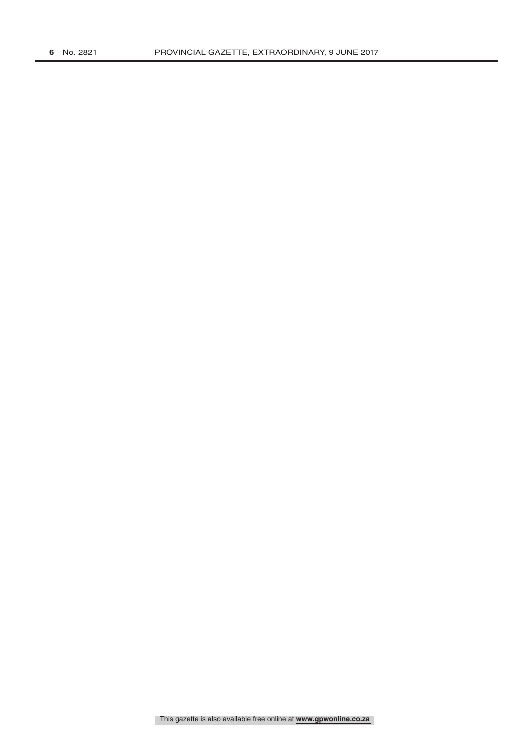This gazette is also available free online at **www.gpwonline.co.za**